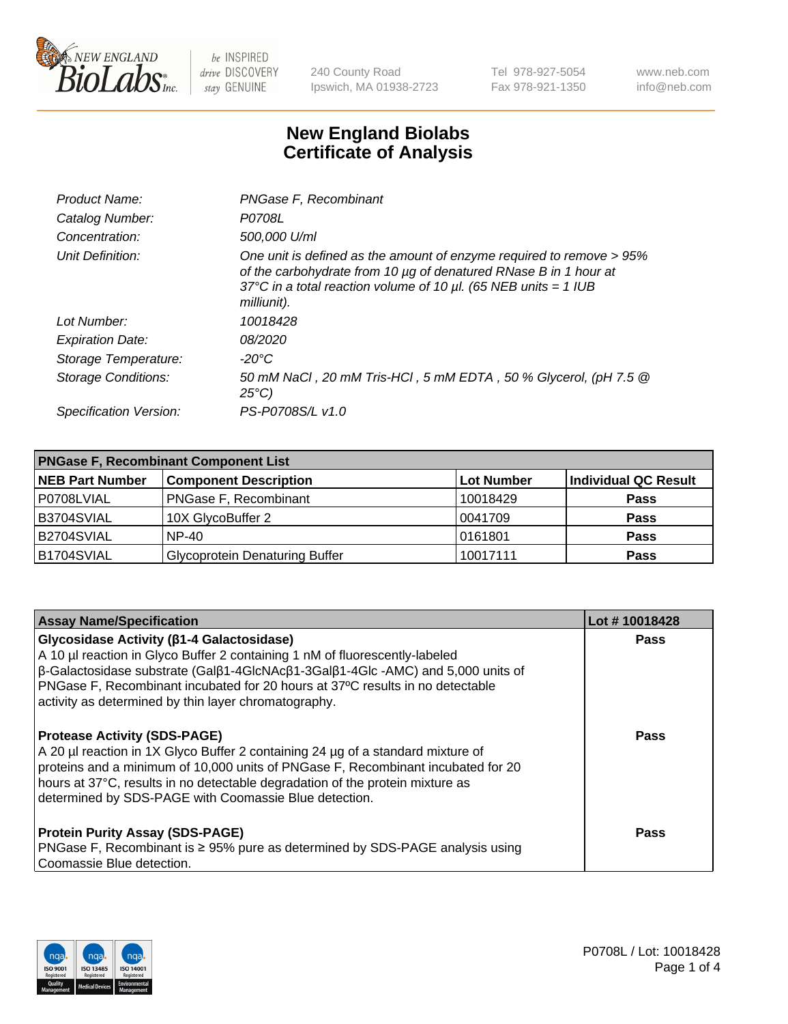

240 County Road Ipswich, MA 01938-2723 Tel 978-927-5054 Fax 978-921-1350 www.neb.com info@neb.com

## **New England Biolabs Certificate of Analysis**

| Product Name:              | PNGase F, Recombinant                                                                                                                                                                                                           |
|----------------------------|---------------------------------------------------------------------------------------------------------------------------------------------------------------------------------------------------------------------------------|
| Catalog Number:            | P0708L                                                                                                                                                                                                                          |
| Concentration:             | 500,000 U/ml                                                                                                                                                                                                                    |
| Unit Definition:           | One unit is defined as the amount of enzyme required to remove > 95%<br>of the carbohydrate from 10 µg of denatured RNase B in 1 hour at<br>37°C in a total reaction volume of 10 $\mu$ l. (65 NEB units = 1 IUB<br>milliunit). |
| Lot Number:                | 10018428                                                                                                                                                                                                                        |
| <b>Expiration Date:</b>    | <i>08/2020</i>                                                                                                                                                                                                                  |
| Storage Temperature:       | -20°C                                                                                                                                                                                                                           |
| <b>Storage Conditions:</b> | 50 mM NaCl, 20 mM Tris-HCl, 5 mM EDTA, 50 % Glycerol, (pH 7.5 @<br>$25^{\circ}C$                                                                                                                                                |
| Specification Version:     | PS-P0708S/L v1.0                                                                                                                                                                                                                |

| <b>PNGase F, Recombinant Component List</b> |                                       |                   |                      |  |
|---------------------------------------------|---------------------------------------|-------------------|----------------------|--|
| <b>NEB Part Number</b>                      | <b>Component Description</b>          | <b>Lot Number</b> | Individual QC Result |  |
| P0708LVIAL                                  | <b>PNGase F, Recombinant</b>          | 10018429          | <b>Pass</b>          |  |
| B3704SVIAL                                  | 10X GlycoBuffer 2                     | 10041709          | <b>Pass</b>          |  |
| B2704SVIAL                                  | $NP-40$                               | 0161801           | <b>Pass</b>          |  |
| B1704SVIAL                                  | <b>Glycoprotein Denaturing Buffer</b> | 10017111          | <b>Pass</b>          |  |

| <b>Assay Name/Specification</b>                                                                                                                                                                                                                                                                                                                                                            | Lot #10018428 |
|--------------------------------------------------------------------------------------------------------------------------------------------------------------------------------------------------------------------------------------------------------------------------------------------------------------------------------------------------------------------------------------------|---------------|
| <b>Glycosidase Activity (β1-4 Galactosidase)</b><br>A 10 µl reaction in Glyco Buffer 2 containing 1 nM of fluorescently-labeled<br>$\beta$ -Galactosidase substrate (Gal $\beta$ 1-4GlcNAc $\beta$ 1-3Gal $\beta$ 1-4Glc -AMC) and 5,000 units of<br>PNGase F, Recombinant incubated for 20 hours at 37°C results in no detectable<br>activity as determined by thin layer chromatography. | <b>Pass</b>   |
| <b>Protease Activity (SDS-PAGE)</b><br>A 20 µl reaction in 1X Glyco Buffer 2 containing 24 µg of a standard mixture of<br>proteins and a minimum of 10,000 units of PNGase F, Recombinant incubated for 20<br>hours at 37°C, results in no detectable degradation of the protein mixture as<br>determined by SDS-PAGE with Coomassie Blue detection.                                       | <b>Pass</b>   |
| <b>Protein Purity Assay (SDS-PAGE)</b><br>PNGase F, Recombinant is ≥ 95% pure as determined by SDS-PAGE analysis using<br>Coomassie Blue detection.                                                                                                                                                                                                                                        | Pass          |

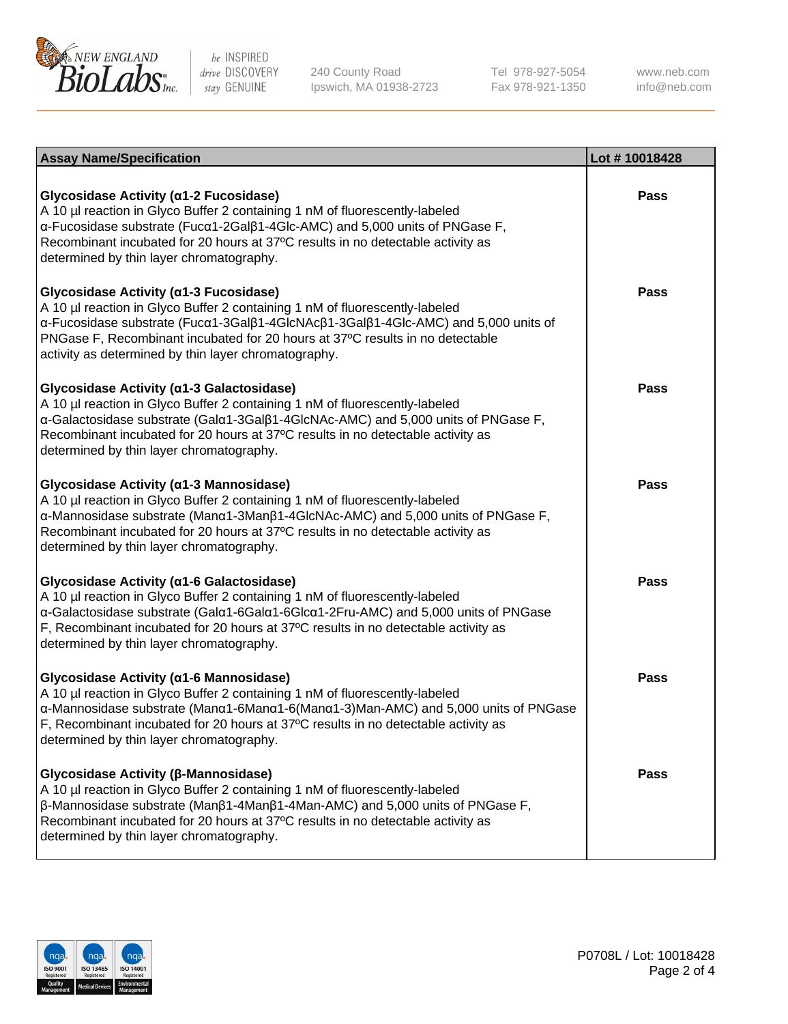

240 County Road Ipswich, MA 01938-2723 Tel 978-927-5054 Fax 978-921-1350

www.neb.com info@neb.com

| <b>Assay Name/Specification</b>                                                                                                                                                                                                                                                                                                                           | Lot #10018428 |
|-----------------------------------------------------------------------------------------------------------------------------------------------------------------------------------------------------------------------------------------------------------------------------------------------------------------------------------------------------------|---------------|
| Glycosidase Activity (α1-2 Fucosidase)<br>A 10 µl reaction in Glyco Buffer 2 containing 1 nM of fluorescently-labeled<br>α-Fucosidase substrate (Fucα1-2Galβ1-4Glc-AMC) and 5,000 units of PNGase F,<br>Recombinant incubated for 20 hours at 37°C results in no detectable activity as<br>determined by thin layer chromatography.                       | <b>Pass</b>   |
| Glycosidase Activity (α1-3 Fucosidase)<br>A 10 µl reaction in Glyco Buffer 2 containing 1 nM of fluorescently-labeled<br>α-Fucosidase substrate (Fucα1-3Galβ1-4GlcNAcβ1-3Galβ1-4Glc-AMC) and 5,000 units of<br>PNGase F, Recombinant incubated for 20 hours at 37°C results in no detectable<br>activity as determined by thin layer chromatography.      | <b>Pass</b>   |
| Glycosidase Activity (a1-3 Galactosidase)<br>A 10 µl reaction in Glyco Buffer 2 containing 1 nM of fluorescently-labeled<br>α-Galactosidase substrate (Galα1-3Galβ1-4GlcNAc-AMC) and 5,000 units of PNGase F,<br>Recombinant incubated for 20 hours at 37°C results in no detectable activity as<br>determined by thin layer chromatography.              | <b>Pass</b>   |
| Glycosidase Activity (α1-3 Mannosidase)<br>A 10 µl reaction in Glyco Buffer 2 containing 1 nM of fluorescently-labeled<br>α-Mannosidase substrate (Manα1-3Manβ1-4GlcNAc-AMC) and 5,000 units of PNGase F,<br>Recombinant incubated for 20 hours at 37°C results in no detectable activity as<br>determined by thin layer chromatography.                  | <b>Pass</b>   |
| Glycosidase Activity (α1-6 Galactosidase)<br>A 10 µl reaction in Glyco Buffer 2 containing 1 nM of fluorescently-labeled<br>α-Galactosidase substrate (Galα1-6Galα1-6Glcα1-2Fru-AMC) and 5,000 units of PNGase<br>F, Recombinant incubated for 20 hours at 37°C results in no detectable activity as<br>determined by thin layer chromatography.          | <b>Pass</b>   |
| Glycosidase Activity (a1-6 Mannosidase)<br>A 10 µl reaction in Glyco Buffer 2 containing 1 nM of fluorescently-labeled<br>α-Mannosidase substrate (Manα1-6Manα1-6(Manα1-3)Man-AMC) and 5,000 units of PNGase<br>F, Recombinant incubated for 20 hours at 37°C results in no detectable activity as<br>determined by thin layer chromatography.            | <b>Pass</b>   |
| Glycosidase Activity (β-Mannosidase)<br>A 10 µl reaction in Glyco Buffer 2 containing 1 nM of fluorescently-labeled<br>$\beta$ -Mannosidase substrate (Man $\beta$ 1-4Man $\beta$ 1-4Man-AMC) and 5,000 units of PNGase F,<br>Recombinant incubated for 20 hours at 37°C results in no detectable activity as<br>determined by thin layer chromatography. | <b>Pass</b>   |

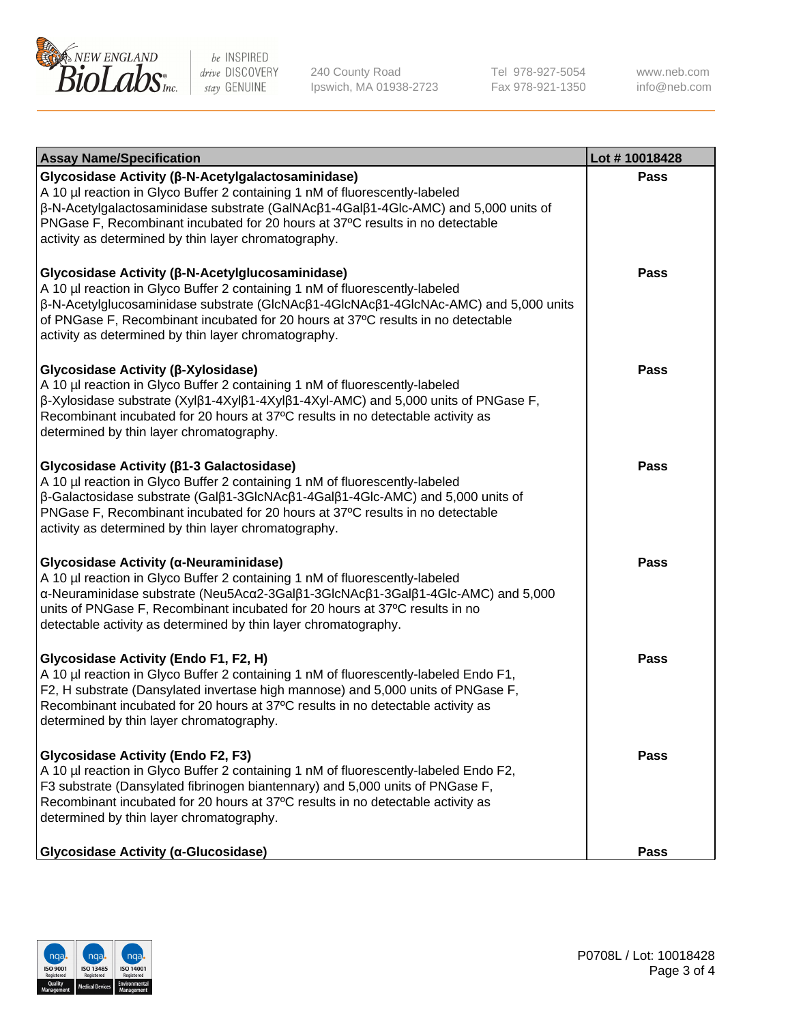

240 County Road Ipswich, MA 01938-2723 Tel 978-927-5054 Fax 978-921-1350 www.neb.com info@neb.com

| <b>Assay Name/Specification</b>                                                                                                                                                                                                                                                                                                                                        | Lot #10018428 |
|------------------------------------------------------------------------------------------------------------------------------------------------------------------------------------------------------------------------------------------------------------------------------------------------------------------------------------------------------------------------|---------------|
| Glycosidase Activity (β-N-Acetylgalactosaminidase)<br>A 10 µl reaction in Glyco Buffer 2 containing 1 nM of fluorescently-labeled<br>β-N-Acetylgalactosaminidase substrate (GalNAcβ1-4Galβ1-4Glc-AMC) and 5,000 units of<br>PNGase F, Recombinant incubated for 20 hours at 37°C results in no detectable<br>activity as determined by thin layer chromatography.      | Pass          |
| Glycosidase Activity (β-N-Acetylglucosaminidase)<br>A 10 µl reaction in Glyco Buffer 2 containing 1 nM of fluorescently-labeled<br>β-N-Acetylglucosaminidase substrate (GlcNAcβ1-4GlcNAcβ1-4GlcNAc-AMC) and 5,000 units<br>of PNGase F, Recombinant incubated for 20 hours at 37°C results in no detectable<br>activity as determined by thin layer chromatography.    | <b>Pass</b>   |
| Glycosidase Activity (β-Xylosidase)<br>A 10 µl reaction in Glyco Buffer 2 containing 1 nM of fluorescently-labeled<br>$\beta$ -Xylosidase substrate (Xyl $\beta$ 1-4Xyl $\beta$ 1-4Xyl $\beta$ 1-4Xyl-AMC) and 5,000 units of PNGase F,<br>Recombinant incubated for 20 hours at 37°C results in no detectable activity as<br>determined by thin layer chromatography. | <b>Pass</b>   |
| Glycosidase Activity (β1-3 Galactosidase)<br>A 10 µl reaction in Glyco Buffer 2 containing 1 nM of fluorescently-labeled<br>β-Galactosidase substrate (Galβ1-3GlcNAcβ1-4Galβ1-4Glc-AMC) and 5,000 units of<br>PNGase F, Recombinant incubated for 20 hours at 37°C results in no detectable<br>activity as determined by thin layer chromatography.                    | <b>Pass</b>   |
| Glycosidase Activity (α-Neuraminidase)<br>A 10 µl reaction in Glyco Buffer 2 containing 1 nM of fluorescently-labeled<br>α-Neuraminidase substrate (Neu5Acα2-3Galβ1-3GlcNAcβ1-3Galβ1-4Glc-AMC) and 5,000<br>units of PNGase F, Recombinant incubated for 20 hours at 37°C results in no<br>detectable activity as determined by thin layer chromatography.             | <b>Pass</b>   |
| Glycosidase Activity (Endo F1, F2, H)<br>A 10 µl reaction in Glyco Buffer 2 containing 1 nM of fluorescently-labeled Endo F1,<br>F2, H substrate (Dansylated invertase high mannose) and 5,000 units of PNGase F,<br>Recombinant incubated for 20 hours at 37°C results in no detectable activity as<br>determined by thin layer chromatography.                       | <b>Pass</b>   |
| <b>Glycosidase Activity (Endo F2, F3)</b><br>A 10 µl reaction in Glyco Buffer 2 containing 1 nM of fluorescently-labeled Endo F2,<br>F3 substrate (Dansylated fibrinogen biantennary) and 5,000 units of PNGase F,<br>Recombinant incubated for 20 hours at 37°C results in no detectable activity as<br>determined by thin layer chromatography.                      | Pass          |
| <b>Glycosidase Activity (α-Glucosidase)</b>                                                                                                                                                                                                                                                                                                                            | Pass          |